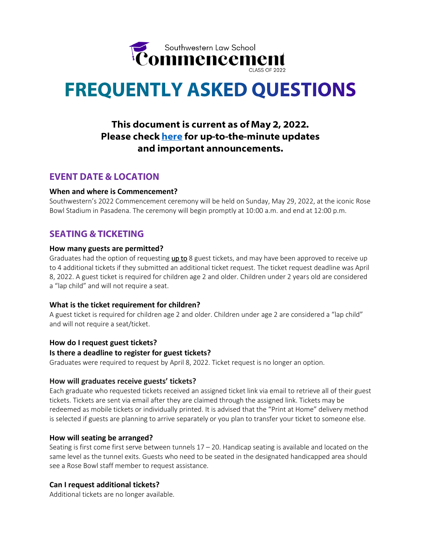

# **FREQUENTLY ASKED QUESTIONS**

# This document is current as of May 2, 2022. Please check here for up-to-the-minute updates and important announcements.

# **EVENT DATE & LOCATION**

## **When and where is Commencement?**

Southwestern's 2022 Commencement ceremony will be held on Sunday, May 29, 2022, at the iconic Rose Bowl Stadium in Pasadena. The ceremony will begin promptly at 10:00 a.m. and end at 12:00 p.m.

## **SEATING & TICKETING**

## **How many guests are permitted?**

Graduates had the option of requesting up to 8 guest tickets, and may have been approved to receive up to 4 additional tickets if they submitted an additional ticket request. The ticket request deadline was April 8, 2022. A guest ticket is required for children age 2 and older. Children under 2 years old are considered a "lap child" and will not require a seat.

## **What is the ticket requirement for children?**

A guest ticket is required for children age 2 and older. Children under age 2 are considered a "lap child" and will not require a seat/ticket.

## **How do I request guest tickets?**

## **Is there a deadline to register for guest tickets?**

Graduates were required to request by April 8, 2022. Ticket request is no longer an option.

#### **How will graduates receive guests' tickets?**

Each graduate who requested tickets received an assigned ticket link via email to retrieve all of their guest tickets. Tickets are sent via email after they are claimed through the assigned link. Tickets may be redeemed as mobile tickets or individually printed. It is advised that the "Print at Home" delivery method is selected if guests are planning to arrive separately or you plan to transfer your ticket to someone else.

## **How will seating be arranged?**

Seating is first come first serve between tunnels  $17 - 20$ . Handicap seating is available and located on the same level as the tunnel exits. Guests who need to be seated in the designated handicapped area should see a Rose Bowl staff member to request assistance.

## **Can I request additional tickets?**

Additional tickets are no longer available.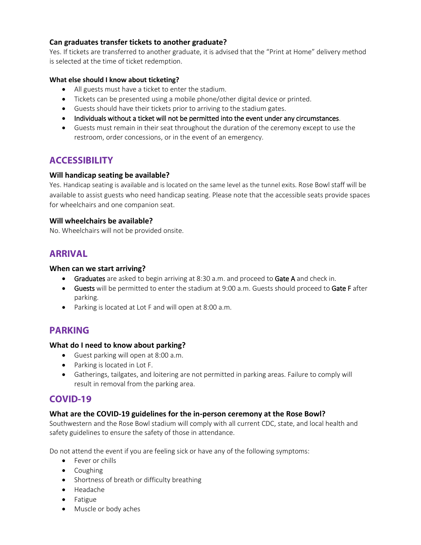## **Can graduates transfer tickets to another graduate?**

Yes. If tickets are transferred to another graduate, it is advised that the "Print at Home" delivery method is selected at the time of ticket redemption.

## **What else should I know about ticketing?**

- All guests must have a ticket to enter the stadium.
- Tickets can be presented using a mobile phone/other digital device or printed.
- Guests should have their tickets prior to arriving to the stadium gates.
- Individuals without a ticket will not be permitted into the event under any circumstances.
- Guests must remain in their seat throughout the duration of the ceremony except to use the restroom, order concessions, or in the event of an emergency.

## **ACCESSIBILITY**

## **Will handicap seating be available?**

Yes. Handicap seating is available and is located on the same level as the tunnel exits. Rose Bowl staff will be available to assist guests who need handicap seating. Please note that the accessible seats provide spaces for wheelchairs and one companion seat.

## **Will wheelchairs be available?**

No. Wheelchairs will not be provided onsite.

## **ARRIVAL**

## **When can we start arriving?**

- **Graduates** are asked to begin arriving at 8:30 a.m. and proceed to Gate A and check in.
- **Guests** will be permitted to enter the stadium at 9:00 a.m. Guests should proceed to Gate F after parking.
- Parking is located at Lot F and will open at 8:00 a.m.

# **PARKING**

## **What do I need to know about parking?**

- Guest parking will open at 8:00 a.m.
- Parking is located in Lot F.
- Gatherings, tailgates, and loitering are not permitted in parking areas. Failure to comply will result in removal from the parking area.

## **COVID-19**

## **What are the COVID-19 guidelines for the in-person ceremony at the Rose Bowl?**

Southwestern and the Rose Bowl stadium will comply with all current CDC, state, and local health and safety guidelines to ensure the safety of those in attendance.

Do not attend the event if you are feeling sick or have any of the following symptoms:

- Fever or chills
- Coughing
- Shortness of breath or difficulty breathing
- Headache
- **•** Fatigue
- Muscle or body aches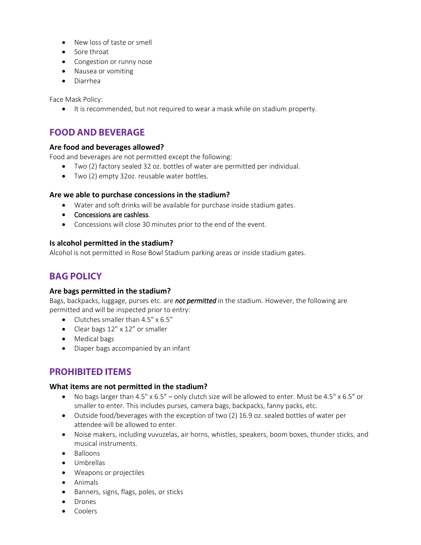- New loss of taste or smell
- Sore throat
- Congestion or runny nose
- Nausea or vomiting
- Diarrhea

Face Mask Policy:

• It is recommended, but not required to wear a mask while on stadium property.

# **FOOD AND BEVERAGE**

## **Are food and beverages allowed?**

Food and beverages are not permitted except the following:

- Two (2) factory sealed 32 oz. bottles of water are permitted per individual.
- Two (2) empty 32oz. reusable water bottles.

## **Are we able to purchase concessions in the stadium?**

- Water and soft drinks will be available for purchase inside stadium gates.
- Concessions are cashless.
- Concessions will close 30 minutes prior to the end of the event.

## **Is alcohol permitted in the stadium?**

Alcohol is not permitted in Rose Bowl Stadium parking areas or inside stadium gates.

# **BAG POLICY**

#### **Are bags permitted in the stadium?**

Bags, backpacks, luggage, purses etc. are *not permitted* in the stadium. However, the following are permitted and will be inspected prior to entry:

- Clutches smaller than 4.5" x 6.5"
- Clear bags 12" x 12" or smaller
- Medical bags
- Diaper bags accompanied by an infant

# **PROHIBITED ITEMS**

#### **What items are not permitted in the stadium?**

- $\bullet$  No bags larger than 4.5" x 6.5" only clutch size will be allowed to enter. Must be 4.5" x 6.5" or smaller to enter. This includes purses, camera bags, backpacks, fanny packs, etc.
- Outside food/beverages with the exception of two (2) 16.9 oz. sealed bottles of water per attendee will be allowed to enter.
- Noise makers, including vuvuzelas, air horns, whistles, speakers, boom boxes, thunder sticks, and musical instruments.
- $\bullet$  Balloons
- Umbrellas
- Weapons or projectiles
- Animals
- **•** Banners, signs, flags, poles, or sticks
- Drones
- Coolers